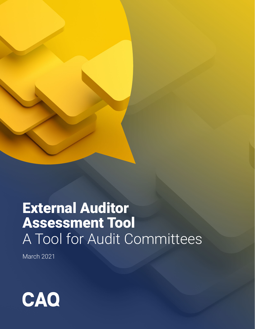

## External Auditor Assessment Tool A Tool for Audit Committees

March 2021

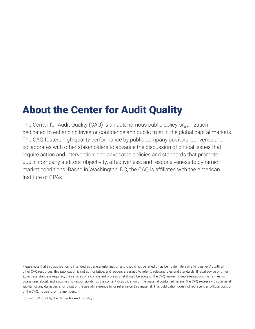### About the Center for Audit Quality

The Center for Audit Quality (CAQ) is an autonomous public policy organization dedicated to enhancing investor confidence and public trust in the global capital markets. The CAQ fosters high-quality performance by public company auditors; convenes and collaborates with other stakeholders to advance the discussion of critical issues that require action and intervention; and advocates policies and standards that promote public company auditors' objectivity, effectiveness, and responsiveness to dynamic market conditions. Based in Washington, DC, the CAQ is affiliated with the American Institute of CPAs.

Please note that this publication is intended as general information and should not be relied on as being definitive or all-inclusive. As with all other CAQ resources, this publication is not authoritative, and readers are urged to refer to relevant rules and standards. If legal advice or other expert assistance is required, the services of a competent professional should be sought. The CAQ makes no representations, warranties, or guarantees about, and assumes no responsibility for, the content or application of the material contained herein. The CAQ expressly disclaims all liability for any damages arising out of the use of, reference to, or reliance on this material. This publication does not represent an official position of the CAQ, its board, or its members.

Copyright © 2021 by the Center for Audit Quality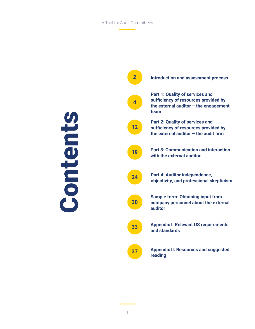#### A Tool for Audit Committees

Contents

Contents

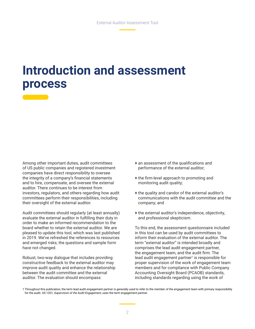### **Introduction and assessment process**

Among other important duties, audit committees of US public companies and registered investment companies have direct responsibility to oversee the integrity of a company's financial statements and to hire, compensate, and oversee the external auditor. There continues to be interest from investors, regulators, and others regarding how audit committees perform their responsibilities, including their oversight of the external auditor.

Audit committees should regularly (at least annually) evaluate the external auditor in fulfilling their duty in order to make an informed recommendation to the board whether to retain the external auditor. We are pleased to update this tool, which was last published in 2019. We've refreshed the references to resources and emerged risks; the questions and sample form have not changed.

Robust, two-way dialogue that includes providing constructive feedback to the external auditor may improve audit quality and enhance the relationship between the audit committee and the external auditor. The evaluation should encompass:

- + an assessment of the qualifications and performance of the external auditor;
- + the firm-level approach to promoting and monitoring audit quality;
- + the quality and candor of the external auditor's communications with the audit committee and the company; and
- + the external auditor's independence, objectivity, and professional skepticism.

To this end, the assessment questionnaire included in this tool can be used by audit committees to inform their evaluation of the external auditor. The term "external auditor" is intended broadly and comprises the lead audit engagement partner, the engagement team, and the audit firm. The lead audit engagement partner<sup>1</sup> is responsible for proper supervision of the work of engagement team members and for compliance with Public Company Accounting Oversight Board (PCAOB) standards, including standards regarding using the work of

<sup>1</sup> Throughout this publication, the term lead audit engagement partner is generally used to refer to the member of the engagement team with primary responsibility for the audit. AS 1201, *Supervision of the Audit Engagement*, uses the term engagement partner.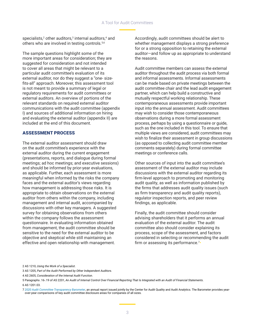#### A Tool for Audit Committees

specialists,<sup>2</sup> other auditors,<sup>3</sup> internal auditors,<sup>4</sup> and others who are involved in testing controls.<sup>5,6</sup>

The sample questions highlight some of the more important areas for consideration; they are suggested for consideration and not intended to cover all areas that might be relevant to a particular audit committee's evaluation of its external auditor, nor do they suggest a "one- sizefits-all" approach. Moreover, this assessment tool is not meant to provide a summary of legal or regulatory requirements for audit committees or external auditors. An overview of portions of the relevant standards on required external auditor communications with the audit committee (appendix I) and sources of additional information on hiring and evaluating the external auditor (appendix II) are included at the end of this document.

#### ASSESSMENT PROCESS

The external auditor assessment should draw on the audit committee's experience with the external auditor during the current engagement (presentations, reports, and dialogue during formal meetings; ad hoc meetings; and executive sessions) and should be informed by prior-year evaluations, as applicable. Further, each assessment is more meaningful when informed by the risks the company faces and the external auditor's views regarding how management is addressing those risks. It is appropriate to obtain observations on the external auditor from others within the company, including management and internal audit, accompanied by discussions with other key managers. A suggested survey for obtaining observations from others within the company follows the assessment questionnaire. In evaluating information obtained from management, the audit committee should be sensitive to the need for the external auditor to be objective and skeptical while still maintaining an effective and open relationship with management.

Accordingly, audit committees should be alert to whether management displays a strong preference for or a strong opposition to retaining the external auditor—and follow up as appropriate to understand the reasons.

Audit committee members can assess the external auditor throughout the audit process via both formal and informal assessments. Informal assessments can be made based on private meetings between the audit committee chair and the lead audit engagement partner, which can help build a constructive and mutually respectful working relationship. These contemporaneous assessments provide important input into the annual assessment. Audit committees may wish to consider those contemporaneous observations during a more formal assessment process, perhaps by using a questionnaire or guide, such as the one included in this tool. To ensure that multiple views are considered, audit committees may wish to finalize their assessment in group discussions (as opposed to collecting audit committee member comments separately) during formal committee meetings or conference calls.

Other sources of input into the audit committee's assessment of the external auditor may include discussions with the external auditor regarding its firm-level approach to promoting and monitoring audit quality, as well as information published by the firms that addresses audit quality issues (such as firm transparency and audit quality reports), regulator inspection reports, and peer review findings, as applicable.

Finally, the audit committee should consider advising shareholders that it performs an annual evaluation of the external auditor. The audit committee also should consider explaining its process, scope of the assessment, and factors considered in selecting or recommending the audit firm or assessing its performance.<sup>7</sup>•

3 AS 1205, *Part of the Audit Performed by Other Independent Auditors*.

5 Paragraphs .16-.19 of AS 2201, *An Audit of Internal Control Over Financial Reporting That Is Integrated with an Audit of Financial Statements*. 6 AS 1201.03.

7 *[2020 Audit Committee Transparency Barometer](https://www.thecaq.org/wp-content/uploads/2020/10/caq-audit-committee-transparency-barometer-2020-october.pdf)*, an annual report issued jointly by the Center for Audit Quality and Audit Analytics. The Barometer provides yearover-year comparisons of key audit committee disclosure areas for companies of all sizes.

<sup>2</sup> AS 1210, *Using the Work of a Specialist*.

<sup>4</sup> AS 2605, *Consideration of the Internal Audit Function*.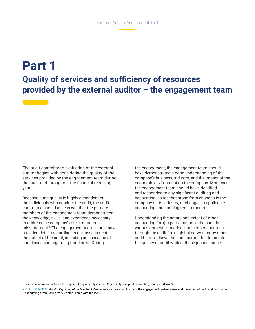### **Part 1 Quality of services and sufficiency of resources provided by the external auditor – the engagement team**

The audit committee's evaluation of the external auditor begins with considering the quality of the services provided by the engagement team during the audit and throughout the financial reporting year.

Because audit quality is highly dependent on the individuals who conduct the audit, the audit committee should assess whether the primary members of the engagement team demonstrated the knowledge, skills, and experience necessary to address the company's risks of material misstatement.<sup>8</sup> The engagement team should have provided details regarding its risk assessment at the outset of the audit, including an assessment and discussion regarding fraud risks. During

the engagement, the engagement team should have demonstrated a good understanding of the company's business, industry, and the impact of the economic environment on the company. Moreover, the engagement team should have identified and responded to any significant auditing and accounting issues that arose from changes in the company or its industry, or changes in applicable accounting and auditing requirements.

Understanding the nature and extent of other accounting firm(s) participation in the audit in various domestic locations, or in other countries through the audit firm's global network or by other audit firms, allows the audit committee to monitor the quality of audit work in those jurisdictions.<sup>9</sup>•

8 Such consideration includes the impact of any recently issued US generally accepted accounting principles (GAAP).

9 [PCAOB Rule 3211](https://pcaobus.org/about/rules-rulemaking/rules/rule-3210-3211), *Auditor Reporting of Certain Audit Participants*, requires disclosure of the engagement partner name and the extent of participation of other accounting firm(s) on Form AP, which is filed with the PCAOB.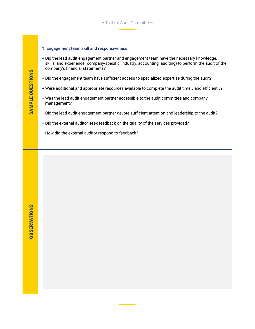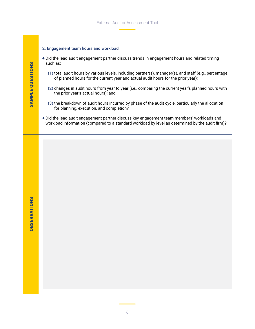

6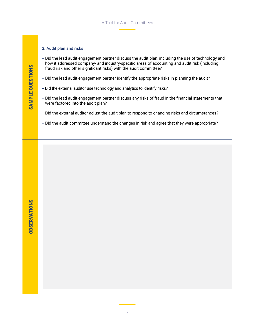#### 3. Audit plan and risks

- + Did the lead audit engagement partner discuss the audit plan, including the use of technology and how it addressed company- and industry-specific areas of accounting and audit risk (including fraud risk and other significant risks) with the audit committee?
- + Did the lead audit engagement partner identify the appropriate risks in planning the audit?
- + Did the external auditor use technology and analytics to identify risks?
- + Did the lead audit engagement partner discuss any risks of fraud in the financial statements that were factored into the audit plan?
- + Did the external auditor adjust the audit plan to respond to changing risks and circumstances?
- + Did the audit committee understand the changes in risk and agree that they were appropriate?

**OBSERVATIONS** OBSERVATIONS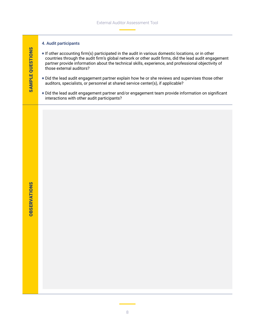#### 4. Audit participants

- + If other accounting firm(s) participated in the audit in various domestic locations, or in other countries through the audit firm's global network or other audit firms, did the lead audit engagement partner provide information about the technical skills, experience, and professional objectivity of those external auditors?
- + Did the lead audit engagement partner explain how he or she reviews and supervises those other auditors, specialists, or personnel at shared service center(s), if applicable?
- + Did the lead audit engagement partner and/or engagement team provide information on significant interactions with other audit participants?

SAMPLE QUESTIONS

SAMPLE QUESTIONS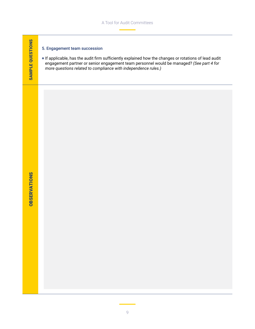#### 5. Engagement team succession

+ If applicable, has the audit firm sufficiently explained how the changes or rotations of lead audit engagement partner or senior engagement team personnel would be managed? *(See part 4 for more questions related to compliance with independence rules.)*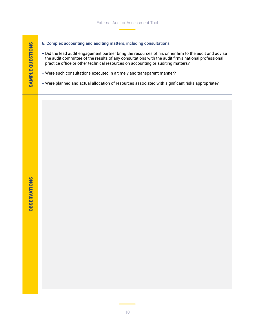- 6. Complex accounting and auditing matters, including consultations
- + Did the lead audit engagement partner bring the resources of his or her firm to the audit and advise the audit committee of the results of any consultations with the audit firm's national professional practice office or other technical resources on accounting or auditing matters?
- + Were such consultations executed in a timely and transparent manner?
- + Were planned and actual allocation of resources associated with significant risks appropriate?

SAMPLE QUESTIONS

SAMPLE QUESTIONS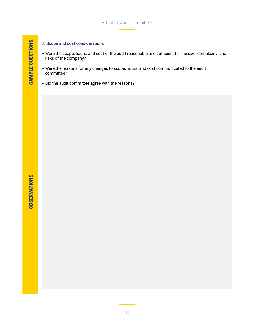#### 7. Scope and cost considerations

- + Were the scope, hours, and cost of the audit reasonable and sufficient for the size, complexity, and risks of the company?
- + Were the reasons for any changes to scope, hours, and cost communicated to the audit committee?
- + Did the audit committee agree with the reasons?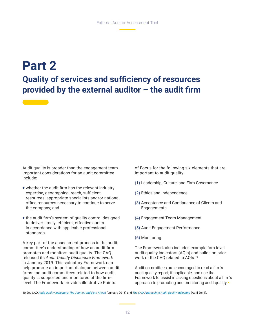### **Part 2 Quality of services and sufficiency of resources provided by the external auditor – the audit firm**

Audit quality is broader than the engagement team. Important considerations for an audit committee include:

- + whether the audit firm has the relevant industry expertise, geographical reach, sufficient resources, appropriate specialists and/or national office resources necessary to continue to serve the company; and
- + the audit firm's system of quality control designed to deliver timely, efficient, effective audits in accordance with applicable professional standards.

A key part of the assessment process is the audit committee's understanding of how an audit firm promotes and monitors audit quality. The CAQ released its *Audit Quality Disclosure Framework* in January 2019. This voluntary Framework can help promote an important dialogue between audit firms and audit committees related to how audit quality is supported and monitored at the firmlevel. The Framework provides illustrative Points

of Focus for the following six elements that are important to audit quality:

- (1) Leadership, Culture, and Firm Governance
- (2) Ethics and Independence
- (3) Acceptance and Continuance of Clients and Engagements
- (4) Engagement Team Management
- (5) Audit Engagement Performance
- (6) Monitoring

The Framework also includes example firm-level audit quality indicators (AQIs) and builds on prior work of the CAQ related to AQIs.10

Audit committees are encouraged to read a firm's audit quality report, if applicable, and use the Framework to assist in asking questions about a firm's approach to promoting and monitoring audit quality.•

10 See CAQ *[Audit Quality Indicators: The Journey and Path Ahead](https://www.thecaq.org/audit-quality-indicators-journey-and-path-ahead/)* (January 2016) and *[The CAQ Approach to Audit Quality Indicators](https://www.thecaq.org/caq-approach-audit-quality-indicators/)* (April 2014).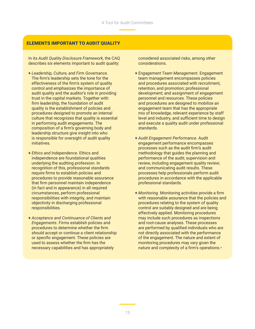#### ELEMENTS IMPORTANT TO AUDIT QUALITY

In its *Audit Quality Disclosure Framework*, the CAQ describes six elements important to audit quality:

- + *Leadership, Culture, and Firm Governance.*  The firm's leadership sets the tone for the effectiveness of the firm's system of quality control and emphasizes the importance of audit quality and the auditor's role in providing trust in the capital markets. Together with firm leadership, the foundation of audit quality is the establishment of policies and procedures designed to promote an internal culture that recognizes that quality is essential in performing audit engagements. The composition of a firm's governing body and leadership structure give insight into who is responsible for oversight of audit quality initiatives.
- + *Ethics and Independence*. Ethics and independence are foundational qualities underlying the auditing profession. In recognition of this, professional standards require firms to establish policies and procedures to provide reasonable assurance that firm personnel maintain independence (in fact and in appearance) in all required circumstances, perform professional responsibilities with integrity, and maintain objectivity in discharging professional responsibilities.
- + *Acceptance and Continuance of Clients and Engagements*. Firms establish policies and procedures to determine whether the firm should accept or continue a client relationship or specific engagement. These policies are used to assess whether the firm has the necessary capabilities and has appropriately

considered associated risks, among other considerations.

- + *Engagement Team Management*. Engagement team management encompasses policies and procedures associated with recruitment, retention, and promotion; professional development; and assignment of engagement personnel and resources. These policies and procedures are designed to mobilize an engagement team that has the appropriate mix of knowledge, relevant experience by staff level and industry, and sufficient time to design and execute a quality audit under professional standards.
- + *Audit Engagement Performance*. Audit engagement performance encompasses processes such as the audit firm's audit methodology that guides the planning and performance of the audit; supervision and review, including engagement quality review; and communicating audit results. These processes help professionals perform audit procedures in accordance with the applicable professional standards.
- + *Monitoring*. Monitoring activities provide a firm with reasonable assurance that the policies and procedures relating to the system of quality control are suitably designed and are being effectively applied. Monitoring procedures may include such procedures as inspections and root-cause analyses. These processes are performed by qualified individuals who are not directly associated with the performance of the engagement. The nature and extent of monitoring procedures may vary given the nature and complexity of a firm's operations.•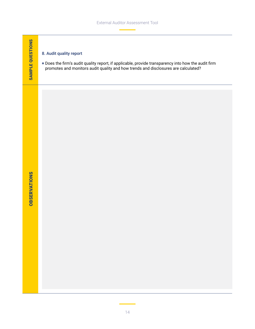#### 8. Audit quality report

+ Does the firm's audit quality report, if applicable, provide transparency into how the audit firm promotes and monitors audit quality and how trends and disclosures are calculated?

**OBSERVATIONS** OBSERVATIONS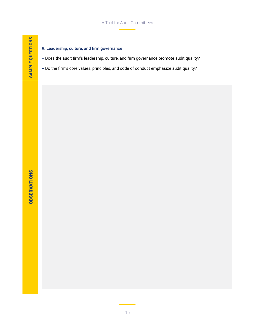#### A Tool for Audit Committees

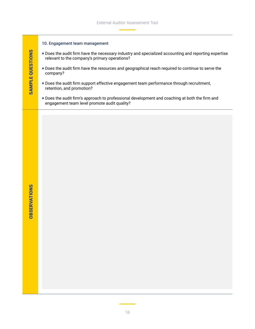#### 10. Engagement team management

- + Does the audit firm have the necessary industry and specialized accounting and reporting expertise relevant to the company's primary operations?
- + Does the audit firm have the resources and geographical reach required to continue to serve the company?
- + Does the audit firm support effective engagement team performance through recruitment, retention, and promotion?
- + Does the audit firm's approach to professional development and coaching at both the firm and engagement team level promote audit quality?

SAMPLE QUESTIONS

**SAMPLE QUESTIONS**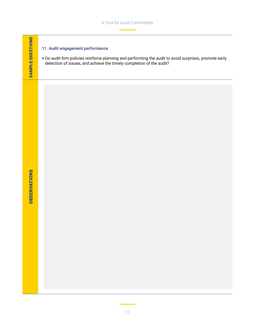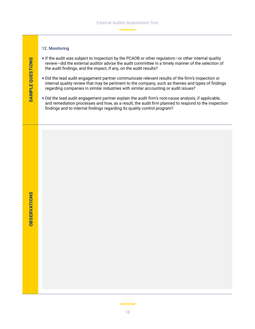#### 12. Monitoring

- + If the audit was subject to inspection by the PCAOB or other regulators—or other internal quality review—did the external auditor advise the audit committee in a timely manner of the selection of the audit findings, and the impact, if any, on the audit results?
- + Did the lead audit engagement partner communicate relevant results of the firm's inspection or internal quality review that may be pertinent to the company, such as themes and types of findings regarding companies in similar industries with similar accounting or audit issues?
- + Did the lead audit engagement partner explain the audit firm's root-cause analysis, if applicable, and remediation processes and how, as a result, the audit firm planned to respond to the inspection findings and to internal findings regarding its quality control program?

*OBSERVATIONS* OBSERVATIONS

SAMPLE QUESTIONS

**SAMPLE QUESTIONS** 

18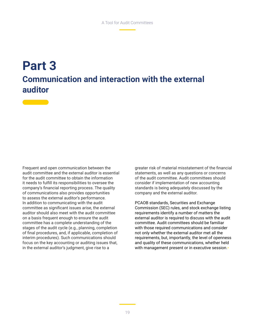### **Part 3 Communication and interaction with the external auditor**

Frequent and open communication between the audit committee and the external auditor is essential for the audit committee to obtain the information it needs to fulfill its responsibilities to oversee the company's financial reporting process. The quality of communications also provides opportunities to assess the external auditor's performance. In addition to communicating with the audit committee as significant issues arise, the external auditor should also meet with the audit committee on a basis frequent enough to ensure the audit committee has a complete understanding of the stages of the audit cycle (e.g., planning, completion of final procedures, and, if applicable, completion of interim procedures). Such communications should focus on the key accounting or auditing issues that, in the external auditor's judgment, give rise to a

greater risk of material misstatement of the financial statements, as well as any questions or concerns of the audit committee. Audit committees should consider if implementation of new accounting standards is being adequately discussed by the company and the external auditor.

PCAOB standards, Securities and Exchange Commission (SEC) rules, and stock exchange listing requirements identify a number of matters the external auditor is required to discuss with the audit committee. Audit committees should be familiar with those required communications and consider not only whether the external auditor met all the requirements, but, importantly, the level of openness and quality of these communications, whether held with management present or in executive session.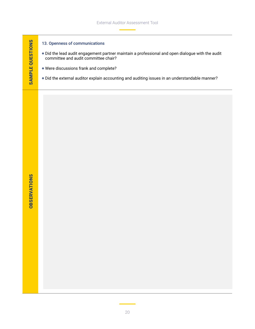# SAMPLE QUESTIONS SAMPLE QUESTIONS

#### 13. Openness of communications

- + Did the lead audit engagement partner maintain a professional and open dialogue with the audit committee and audit committee chair?
- + Were discussions frank and complete?
- + Did the external auditor explain accounting and auditing issues in an understandable manner?

**OBSERVATIONS** OBSERVATIONS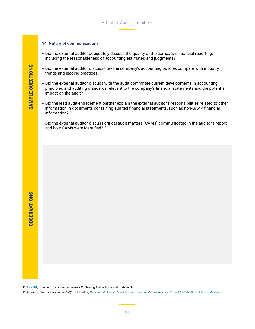### 14. Nature of communications + Did the external auditor adequately discuss the quality of the company's financial reporting, including the reasonableness of accounting estimates and judgments? **SAMPLE QUESTIONS** SAMPLE QUESTIONS + Did the external auditor discuss how the company's accounting policies compare with industry trends and leading practices? + Did the external auditor discuss with the audit committee current developments in accounting principles and auditing standards relevant to the company's financial statements and the potential impact on the audit? + Did the lead audit engagement partner explain the external auditor's responsibilities related to other information in documents containing audited financial statements, such as non-GAAP financial information?<sup>11</sup> + Did the external auditor discuss critical audit matters (CAMs) communicated in the auditor's report and how CAMs were identified?<sup>12</sup> *OBSERVATIONS* OBSERVATIONS

11 [AS 2701,](https://pcaobus.org/oversight/standards/auditing-standards/details/AS2710) Other Information in Documents Containing Audited Financial Statements.

12 For more information, see the CAQ's publication, *[The Auditor's Report: Considerations for Audit Committees](https://www.thecaq.org/auditors-report-considerations-audit-committees/)* and *[Critical Audit Matters: A Year in Review](https://www.thecaq.org/news/common-themes-emerge-in-data-from-first-year-of-cams-implementation/).*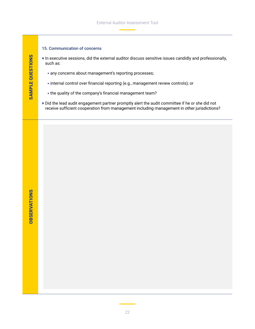#### 15. Communication of concerns

- + In executive sessions, did the external auditor discuss sensitive issues candidly and professionally, such as:
	- any concerns about management's reporting processes;
	- internal control over financial reporting (e.g., management review controls); or
	- the quality of the company's financial management team?
- + Did the lead audit engagement partner promptly alert the audit committee if he or she did not receive sufficient cooperation from management including management in other jurisdictions?

SAMPLE QUESTIONS

SAMPLE QUESTIONS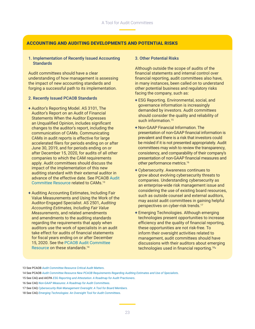#### ACCOUNTING AND AUDITING DEVELOPMENTS AND POTENTIAL RISKS

#### 1. Implementation of Recently Issued Accounting **Standards**

Audit committees should have a clear understanding of how management is assessing the impact of new accounting standards and forging a successful path to its implementation.

#### 2. Recently Issued PCAOB Standards

- + Auditor's Reporting Model. AS 3101, The Auditor's Report on an Audit of Financial Statements When the Auditor Expresses an Unqualified Opinion, includes significant changes to the auditor's report, including the communication of CAMs. Communicating CAMs in audit reports is effective for large accelerated filers for periods ending on or after June 30, 2019, and for periods ending on or after December 15, 2020, for audits of all other companies to which the CAM requirements apply. Audit committees should discuss the impact of the implementation of this new auditing standard with their external auditor in advance of the effective date. See PCAOB [Audit](https://pcaob-assets.azureedge.net/pcaob-dev/docs/default-source/documents/audit-committee-resource-cams.pdf?sfvrsn=b03d034_0)  [Committee Resource](https://pcaob-assets.azureedge.net/pcaob-dev/docs/default-source/documents/audit-committee-resource-cams.pdf?sfvrsn=b03d034_0) related to CAMs.<sup>13</sup>
- + Auditing Accounting Estimates, Including Fair Value Measurements and Using the Work of the Auditor-Engaged Specialist. AS 2501, *Auditing Accounting Estimates, Including Fair Value Measurements*, and related amendments and amendments to the auditing standards regarding the requirements that apply when auditors use the work of specialists in an audit take effect for audits of financial statements for fiscal years ending on or after December 15, 2020. See the [PCAOB Audit Committee](https://pcaob-assets.azureedge.net/pcaob-dev/docs/default-source/documents/audit-committee-resource-estimates-specialists.pdf?sfvrsn=ec0b7664_4)  [Resource](https://pcaob-assets.azureedge.net/pcaob-dev/docs/default-source/documents/audit-committee-resource-estimates-specialists.pdf?sfvrsn=ec0b7664_4) on these standards.14

#### 3. Other Potential Risks

Although outside the scope of audits of the financial statements and internal control over financial reporting, audit committees also have, in many instances, been called on to understand other potential business and regulatory risks facing the company, such as:

- + ESG Reporting. Environmental, social, and governance information is increasingly demanded by investors. Audit committees should consider the quality and reliability of such information.<sup>15</sup>
- + Non-GAAP Financial Information. The presentation of non-GAAP financial information is prevalent and there is a risk that investors could be misled if it is not presented appropriately. Audit committees may wish to review the transparency, consistency, and comparability of their company's presentation of non-GAAP financial measures and other performance metrics.<sup>16</sup>
- + Cybersecurity. Awareness continues to grow about evolving cybersecurity threats to companies. Understanding cybersecurity as an enterprise-wide risk management issue and considering the use of existing board resources, such as outside counsel and external auditors. may assist audit committees in gaining helpful perspectives on cyber-risk trends.<sup>17</sup>
- + Emerging Technologies. Although emerging technologies present opportunities to increase efficiency and the quality of financial reporting, these opportunities are not risk-free. To inform their oversight activities related to management, audit committees should have discussions with their auditors about emerging technologies used in financial reporting.<sup>18</sup>•

13 See PCAOB *[Audit Committee Resource Critical Audit Matters](mailto:https://pcaob-assets.azureedge.net/pcaob-dev/docs/default-source/documents/audit-committee-resource-cams.pdf%3Fsfvrsn%3Db03d034_0?subject=)*.

<sup>14</sup> See PCAOB *[Audit Committee Resource New PCAOB Requirements Regarding Auditing Estimates and Use of Specialists](mailto:https://pcaob-assets.azureedge.net/pcaob-dev/docs/default-source/documents/audit-committee-resource-estimates-specialists.pdf%3Fsfvrsn%3Dec0b7664_4?subject=)*.

<sup>15</sup> See CAQ and AICPA *[ESG Reporting and Attestation: A Roadmap for Audit Practioners](https://www.thecaq.org/wp-content/uploads/2021/02/caq-esg-reporting-and-attestation-roadmap-2021-Feb_v2.pdf)*.

<sup>16</sup> See CAQ *[Non-GAAP Measures: A Roadmap for Audit Committees](https://www.thecaq.org/non-gaap-measures-roadmap-audit-committees/)*.

<sup>17</sup> See CAQ *[Cybersecurity Risk Management Oversight: A Tool for Board Members](https://www.thecaq.org/cybersecurity-risk-management-oversight-tool-board-members/)*.

<sup>18</sup> See CAQ *[Emerging Technologies: An Oversight Tool for Audit Committees](https://www.thecaq.org/emerging-technologies-oversight-tool-audit-committees)*.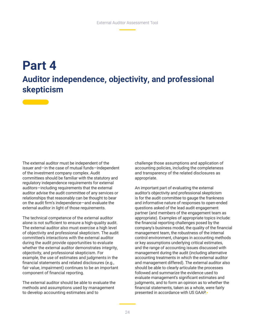### **Part 4 Auditor independence, objectivity, and professional skepticism**

The external auditor must be independent of the issuer and—in the case of mutual funds—independent of the investment company complex. Audit committees should be familiar with the statutory and regulatory independence requirements for external auditors—including requirements that the external auditor advise the audit committee of any services or relationships that reasonably can be thought to bear on the audit firm's independence—and evaluate the external auditor in light of those requirements.

The technical competence of the external auditor alone is not sufficient to ensure a high-quality audit. The external auditor also must exercise a high level of objectivity and professional skepticism. The audit committee's interactions with the external auditor during the audit provide opportunities to evaluate whether the external auditor demonstrates integrity, objectivity, and professional skepticism. For example, the use of estimates and judgments in the financial statements and related disclosures (e.g., fair value, impairment) continues to be an important component of financial reporting.

The external auditor should be able to evaluate the methods and assumptions used by management to develop accounting estimates and to

challenge those assumptions and application of accounting policies, including the completeness and transparency of the related disclosures as appropriate.

An important part of evaluating the external auditor's objectivity and professional skepticism is for the audit committee to gauge the frankness and informative nature of responses to open-ended questions asked of the lead audit engagement partner (and members of the engagement team as appropriate). Examples of appropriate topics include: the financial reporting challenges posed by the company's business model, the quality of the financial management team, the robustness of the internal control environment, changes in accounting methods or key assumptions underlying critical estimates, and the range of accounting issues discussed with management during the audit (including alternative accounting treatments in which the external auditor and management differed). The external auditor also should be able to clearly articulate the processes followed and summarize the evidence used to evaluate management's significant estimates and judgments, and to form an opinion as to whether the financial statements, taken as a whole, were fairly presented in accordance with US GAAP.•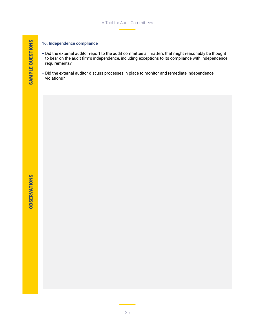#### 16. Independence compliance

- + Did the external auditor report to the audit committee all matters that might reasonably be thought to bear on the audit firm's independence, including exceptions to its compliance with independence requirements?
- + Did the external auditor discuss processes in place to monitor and remediate independence violations?

SAMPLE QUESTIONS

SAMPLE QUESTIONS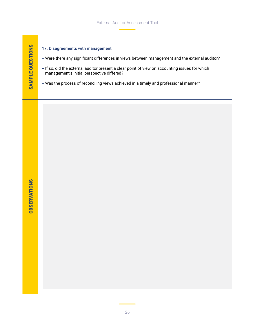#### 17. Disagreements with management

- + Were there any significant differences in views between management and the external auditor?
- + If so, did the external auditor present a clear point of view on accounting issues for which management's initial perspective differed?
- + Was the process of reconciling views achieved in a timely and professional manner?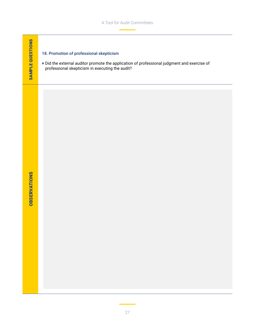#### 18. Promotion of professional skepticism

+ Did the external auditor promote the application of professional judgment and exercise of professional skepticism in executing the audit?

**OBSERVATIONS** OBSERVATIONS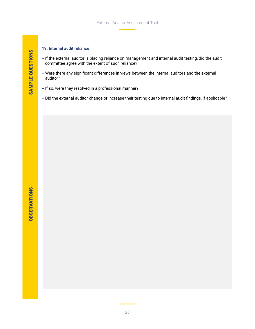#### 19. Internal audit reliance

- + If the external auditor is placing reliance on management and internal audit testing, did the audit committee agree with the extent of such reliance?
- + Were there any significant differences in views between the internal auditors and the external auditor?
- + If so, were they resolved in a professional manner?
- + Did the external auditor change or increase their testing due to internal audit findings, if applicable?

SAMPLE QUESTIONS

SAMPLE QUESTIONS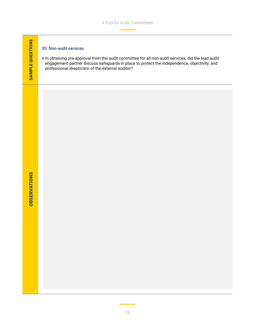#### 20. Non-audit services

+ In obtaining pre-approval from the audit committee for all non-audit services, did the lead audit engagement partner discuss safeguards in place to protect the independence, objectivity, and professional skepticism of the external auditor?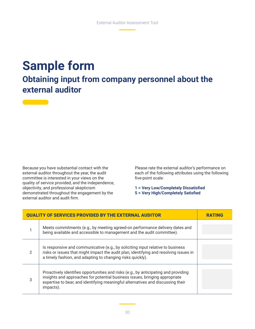### **Sample form**

### **Obtaining input from company personnel about the external auditor**

Because you have substantial contact with the external auditor throughout the year, the audit committee is interested in your views on the quality of service provided, and the independence, objectivity, and professional skepticism demonstrated throughout the engagement by the external auditor and audit firm.

Please rate the external auditor's performance on each of the following attributes using the following five-point scale:

**1 = Very Low/Completely Dissatisfied 5 = Very High/Completely Satisfied**

| <b>QUALITY OF SERVICES PROVIDED BY THE EXTERNAL AUDITOR</b> |                                                                                                                                                                                                                                                                    |  |
|-------------------------------------------------------------|--------------------------------------------------------------------------------------------------------------------------------------------------------------------------------------------------------------------------------------------------------------------|--|
|                                                             | Meets commitments (e.g., by meeting agreed-on performance delivery dates and<br>being available and accessible to management and the audit committee).                                                                                                             |  |
| 2                                                           | Is responsive and communicative (e.g., by soliciting input relative to business<br>risks or issues that might impact the audit plan, identifying and resolving issues in<br>a timely fashion, and adapting to changing risks quickly).                             |  |
| 3                                                           | Proactively identifies opportunities and risks (e.g., by anticipating and providing<br>insights and approaches for potential business issues, bringing appropriate<br>expertise to bear, and identifying meaningful alternatives and discussing their<br>impacts). |  |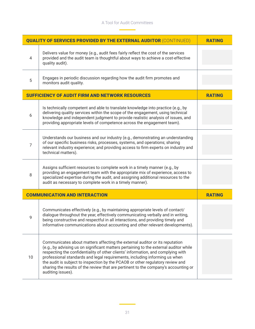| <b>QUALITY OF SERVICES PROVIDED BY THE EXTERNAL AUDITOR (CONTINUED)</b> | <b>RATING</b>                                                                                                                                                                                                                                                                                                                         |               |
|-------------------------------------------------------------------------|---------------------------------------------------------------------------------------------------------------------------------------------------------------------------------------------------------------------------------------------------------------------------------------------------------------------------------------|---------------|
| 4                                                                       | Delivers value for money (e.g., audit fees fairly reflect the cost of the services<br>provided and the audit team is thoughtful about ways to achieve a cost-effective<br>quality audit).                                                                                                                                             |               |
| 5                                                                       | Engages in periodic discussion regarding how the audit firm promotes and<br>monitors audit quality.                                                                                                                                                                                                                                   |               |
| <b>SUFFICIENCY OF AUDIT FIRM AND NETWORK RESOURCES</b>                  | <b>RATING</b>                                                                                                                                                                                                                                                                                                                         |               |
| 6                                                                       | Is technically competent and able to translate knowledge into practice (e.g., by<br>delivering quality services within the scope of the engagement, using technical<br>knowledge and independent judgment to provide realistic analysis of issues, and<br>providing appropriate levels of competence across the engagement team).     |               |
| $\overline{7}$                                                          | Understands our business and our industry (e.g., demonstrating an understanding<br>of our specific business risks, processes, systems, and operations; sharing<br>relevant industry experience; and providing access to firm experts on industry and<br>technical matters).                                                           |               |
| 8                                                                       | Assigns sufficient resources to complete work in a timely manner (e.g., by<br>providing an engagement team with the appropriate mix of experience, access to<br>specialized expertise during the audit, and assigning additional resources to the                                                                                     |               |
|                                                                         | audit as necessary to complete work in a timely manner).                                                                                                                                                                                                                                                                              |               |
|                                                                         | <b>COMMUNICATION AND INTERACTION</b>                                                                                                                                                                                                                                                                                                  | <b>RATING</b> |
| 9                                                                       | Communicates effectively (e.g., by maintaining appropriate levels of contact/<br>dialogue throughout the year, effectively communicating verbally and in writing,<br>being constructive and respectful in all interactions, and providing timely and<br>informative communications about accounting and other relevant developments). |               |

ь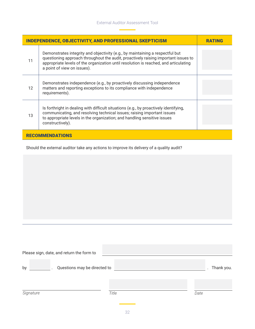| <b>INDEPENDENCE, OBJECTIVITY, AND PROFESSIONAL SKEPTICISM</b> | <b>RATING</b>                                                                                                                                                                                                                                                                              |  |  |  |
|---------------------------------------------------------------|--------------------------------------------------------------------------------------------------------------------------------------------------------------------------------------------------------------------------------------------------------------------------------------------|--|--|--|
| 11                                                            | Demonstrates integrity and objectivity (e.g., by maintaining a respectful but<br>questioning approach throughout the audit, proactively raising important issues to<br>appropriate levels of the organization until resolution is reached, and articulating<br>a point of view on issues). |  |  |  |
| 12                                                            | Demonstrates independence (e.g., by proactively discussing independence<br>matters and reporting exceptions to its compliance with independence<br>requirements).                                                                                                                          |  |  |  |
| 13                                                            | Is forthright in dealing with difficult situations (e.g., by proactively identifying,<br>communicating, and resolving technical issues; raising important issues<br>to appropriate levels in the organization; and handling sensitive issues<br>constructively).                           |  |  |  |
| <b>RECOMMENDATIONS</b>                                        |                                                                                                                                                                                                                                                                                            |  |  |  |

Should the external auditor take any actions to improve its delivery of a quality audit?

| Please sign, date, and return the form to |       |            |
|-------------------------------------------|-------|------------|
| by<br>Questions may be directed to        |       | Thank you. |
| Signature                                 | Title | Date       |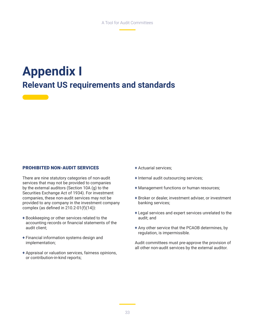### **Appendix I Relevant US requirements and standards**

#### PROHIBITED NON-AUDIT SERVICES

There are nine statutory categories of non-audit services that may not be provided to companies by the external auditors (Section 10A (g) to the Securities Exchange Act of 1934). For investment companies, these non-audit services may not be provided to any company in the investment company complex (as defined in 210.2-01(f)(14)):

- + Bookkeeping or other services related to the accounting records or financial statements of the audit client;
- + Financial information systems design and implementation;
- + Appraisal or valuation services, fairness opinions, or contribution-in-kind reports;
- + Actuarial services;
- + Internal audit outsourcing services;
- + Management functions or human resources;
- + Broker or dealer, investment adviser, or investment banking services;
- + Legal services and expert services unrelated to the audit; and
- + Any other service that the PCAOB determines, by regulation, is impermissible.

Audit committees must pre-approve the provision of all other non-audit services by the external auditor.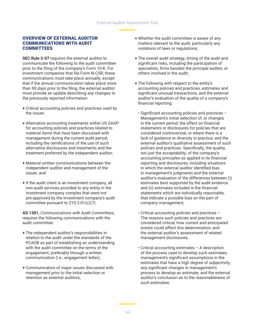#### OVERVIEW OF EXTERNAL AUDITOR COMMUNICATIONS WITH AUDIT **COMMITTEES**

**SEC Rule 2-07** requires the external auditor to communicate the following to the audit committee prior to the filing of the company's Form 10-K. For investment companies that file Form N-CSR, these communications must take place annually, except that if the annual communication takes place more than 90 days prior to the filing, the external auditor must provide an update describing any changes to the previously reported information.

- + Critical accounting policies and practices used by the issuer;
- + Alternative accounting treatments within US GAAP for accounting policies and practices related to material items that have been discussed with management during the current audit period, including the ramifications of the use of such alternative disclosures and treatments and the treatment preferred by the independent auditor;
- + Material written communications between the independent auditor and management of the issuer; and
- + If the audit client is an investment company, all non-audit services provided to any entity in the investment company complex that were not pre-approved by the investment company's audit committee pursuant to 210.2-01(c)(7).

**AS 1301,** *Communications with Audit Committees*, requires the following communications with the audit committee:

- + The independent auditor's responsibilities in relation to the audit under the standards of the PCAOB as part of establishing an understanding with the audit committee on the terms of the engagement, preferably through a written communication (i.e., engagement letter);
- + Communication of major issues discussed with management prior to the initial selection or retention as external auditors;
- + Whether the audit committee is aware of any matters relevant to the audit, particularly any violations of laws or regulations;
- + The overall audit strategy, timing of the audit and significant risks, including the participation of specialists, firms besides the principal auditor, or others involved in the audit;
- + The following with respect to the entity's accounting policies and practices, estimates and significant unusual transactions, and the external auditor's evaluation of the quality of a company's financial reporting:
	- Significant accounting policies and practices Management's initial selection of, or changes in the current period; the effect on financial statements or disclosures for policies that are considered controversial, or where there is a lack of guidance or diversity in practice; and the external auditor's qualitative assessment of such policies and practices. Specifically, the quality, not just the acceptability, of the company's accounting principles as applied in its financial reporting and disclosures, including situations in which the external auditor identified bias in management's judgments and the external auditor's evaluation of the differences between (i) estimates best supported by the audit evidence and (ii) estimates included in the financial statements which are individually reasonable, that indicate a possible bias on the part of company management;
	- Critical accounting policies and practices The reasons such policies and practices are considered critical, how current and anticipated events could affect this determination, and the external auditor's assessment of related management disclosures;
	- Critical accounting estimates A description of the process used to develop such estimates, management's significant assumptions in the estimates that have a high degree of subjectivity, any significant changes in management's process to develop an estimate, and the external auditor's conclusion as to the reasonableness of such estimates;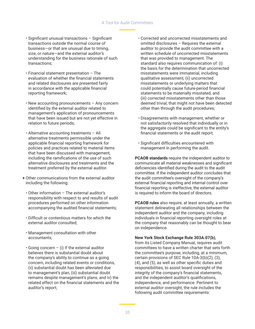#### A Tool for Audit Committees

- Significant unusual transactions Significant transactions outside the normal course of business—or that are unusual due to timing, size, or nature—and the external auditor's understanding for the business rationale of such transactions;
- Financial statement presentation The evaluation of whether the financial statements and related disclosures are presented fairly in accordance with the applicable financial reporting framework;
- New accounting pronouncements Any concern identified by the external auditor related to management's application of pronouncements that have been issued but are not yet effective in relation to future periods;
- Alternative accounting treatments All alternative treatments permissible under the applicable financial reporting framework for policies and practices related to material items that have been discussed with management, including the ramifications of the use of such alternative disclosures and treatments and the treatment preferred by the external auditor.
- + Other communications from the external auditor including the following:
	- Other information The external auditor's responsibility with respect to and results of audit procedures performed on other information accompanying the audited financial statements;
	- Difficult or contentious matters for which the external auditor consulted;
	- Management consultation with other accountants;
	- $\cdot$  Going concern (i) If the external auditor believes there is substantial doubt about the company's ability to continue as a going concern, including related events or conditions, (ii) substantial doubt has been alleviated due to management's plan, (iii) substantial doubt remains despite management's plans, and iv) the related effect on the financial statements and the auditor's report;
- Corrected and uncorrected misstatements and omitted disclosures – Requires the external auditor to provide the audit committee with a written schedule of uncorrected misstatements that was provided to management. The standard also requires communication of: (i) the basis for the determination that uncorrected misstatements were immaterial, including qualitative assessment, (ii) uncorrected misstatements or underlying matters that could potentially cause future-period financial statements to be materially misstated, and (iii) corrected misstatements other than those deemed trivial, that might not have been detected other than through the audit procedures;
- Disagreements with management, whether or not satisfactorily resolved that individually or in the aggregate could be significant to the entity's financial statements or the audit report;
- Significant difficulties encountered with management in performing the audit.

**PCAOB standards** require the independent auditor to communicate all material weaknesses and significant deficiencies identified during the audit to the audit committee. If the independent auditor concludes that the audit committee's oversight of the company's external financial reporting and internal control over financial reporting is ineffective, the external auditor is required to inform the board of directors.

**PCAOB rules** also require, at least annually, a written statement delineating all relationships between the independent auditor and the company, including individuals in financial reporting oversight roles at the company that reasonably can be thought to bear on independence.

#### **New York Stock Exchange Rule 303A.07(b)**,

from its Listed Company Manual, requires audit committees to have a written charter that sets forth the committee's purpose, including, at a minimum, certain provisions of SEC Rule 10A-3(b)(2), (3), (4), and (5), as well as other specific duties and responsibilities, to assist board oversight of the integrity of the company's financial statements, and the independent auditor's qualifications, independence, and performance. Pertinent to external auditor oversight, the rule includes the following audit committee requirements: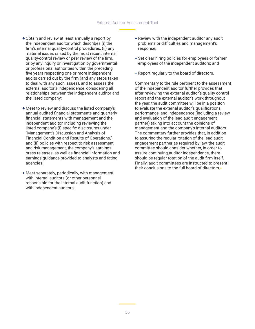- + Obtain and review at least annually a report by the independent auditor which describes (i) the firm's internal quality-control procedures, (ii) any material issues raised by the most recent internal quality-control review or peer review of the firm, or by any inquiry or investigation by governmental or professional authorities within the preceding five years respecting one or more independent audits carried out by the firm (and any steps taken to deal with any such issues), and to assess the external auditor's independence, considering all relationships between the independent auditor and the listed company;
- + Meet to review and discuss the listed company's annual audited financial statements and quarterly financial statements with management and the independent auditor, including reviewing the listed company's (i) specific disclosures under "Management's Discussion and Analysis of Financial Condition and Results of Operations," and (ii) policies with respect to risk assessment and risk management, the company's earnings press releases, as well as financial information and earnings guidance provided to analysts and rating agencies;
- + Meet separately, periodically, with management, with internal auditors (or other personnel responsible for the internal audit function) and with independent auditors;
- + Review with the independent auditor any audit problems or difficulties and management's response;
- + Set clear hiring policies for employees or former employees of the independent auditors; and
- + Report regularly to the board of directors.

Commentary to the rule pertinent to the assessment of the independent auditor further provides that after reviewing the external auditor's quality control report and the external auditor's work throughout the year, the audit committee will be in a position to evaluate the external auditor's qualifications, performance, and independence (including a review and evaluation of the lead audit engagement partner) taking into account the opinions of management and the company's internal auditors. The commentary further provides that, in addition to assuring the regular rotation of the lead audit engagement partner as required by law, the audit committee should consider whether, in order to assure continuing auditor independence, there should be regular rotation of the audit firm itself. Finally, audit committees are instructed to present their conclusions to the full board of directors.•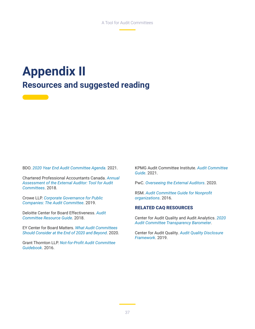### **Appendix II Resources and suggested reading**

BDO. *[2020 Year End Audit Committee Agenda](https://www.bdo.com/insights/assurance/corporate-governance/2020-year-end-audit-committee-agenda).* 2021.

Chartered Professional Accountants Canada. *[Annual](https://www.cpacanada.ca/en/business-and-accounting-resources/audit-and-assurance/enhancing-audit-quality/publications/annual-assessment-of-external-auditor-tool)  [Assessment of the External Auditor: Tool for Audit](https://www.cpacanada.ca/en/business-and-accounting-resources/audit-and-assurance/enhancing-audit-quality/publications/annual-assessment-of-external-auditor-tool)  [Committees](https://www.cpacanada.ca/en/business-and-accounting-resources/audit-and-assurance/enhancing-audit-quality/publications/annual-assessment-of-external-auditor-tool)*. 2018.

Crowe LLP. *[Corporate Governance for Public](https://www.crowe.com/insights/asset/c/corporate-governance-for-public-companies-the-audit-committee)  [Companies: The Audit Committee](https://www.crowe.com/insights/asset/c/corporate-governance-for-public-companies-the-audit-committee)*. 2019.

<u> The Company of the Company of the Company of the Company of the Company of the Company of the Company of the Company of the Company of the Company of the Company of the Company of the Company of the Company of the Compan</u>

Deloitte Center for Board Effectiveness. *[Audit](https://www2.deloitte.com/us/en/pages/center-for-board-effectiveness/articles/audit-committee-resource-guide.html)  [Committee Resource Guide](https://www2.deloitte.com/us/en/pages/center-for-board-effectiveness/articles/audit-committee-resource-guide.html)*. 2018.

EY Center for Board Matters. *[What Audit Committees](https://www.ey.com/en_us/board-matters/what-audit-committees-should-consider-at-the-end-of-2020-and-beyond)  [Should Consider at the End of 2020 and Beyond](https://www.ey.com/en_us/board-matters/what-audit-committees-should-consider-at-the-end-of-2020-and-beyond)*. 2020.

Grant Thornton LLP. *[Not-for-Profit Audit Committee](https://www.grantthornton.com/~/media/content-page-files/nfp/pdfs/2016/NFP-Audit-committee-guide.ashx)  [Guidebook](https://www.grantthornton.com/~/media/content-page-files/nfp/pdfs/2016/NFP-Audit-committee-guide.ashx)*. 2016.

KPMG Audit Committee Institute. *[Audit Committee](https://boardleadership.kpmg.us/relevant-topics/articles/general/kpmg-audit-committee-guide.html)  [Guide](https://boardleadership.kpmg.us/relevant-topics/articles/general/kpmg-audit-committee-guide.html)*. 2021.

PwC. *[Overseeing the External Auditors](https://www.pwc.com/us/en/governance-insights-center/publications/assets/pwc-overseeing-the-external-auditors.pdf)*. 2020.

RSM. *[Audit Committee Guide for Nonprofit](https://rsmus.com/what-we-do/industries/not-for-profit/audit-committee-guide-for-not-for-profit-organizations.html)  [organizations](https://rsmus.com/what-we-do/industries/not-for-profit/audit-committee-guide-for-not-for-profit-organizations.html)*. 2016.

#### RELATED CAQ RESOURCES

Center for Audit Quality and Audit Analytics. *[2020](https://www.thecaq.org/wp-content/uploads/2020/10/caq-audit-committee-transparency-barometer-2020-october.pdf)  [Audit Committee Transparency Barometer](https://www.thecaq.org/wp-content/uploads/2020/10/caq-audit-committee-transparency-barometer-2020-october.pdf)*.

Center for Audit Quality. *[Audit Quality Disclosure](https://www.thecaq.org/wp-content/uploads/2019/03/caq_audit_quality_disclosure_framework_2019-01.pdf)  [Framework](https://www.thecaq.org/wp-content/uploads/2019/03/caq_audit_quality_disclosure_framework_2019-01.pdf)*. 2019.